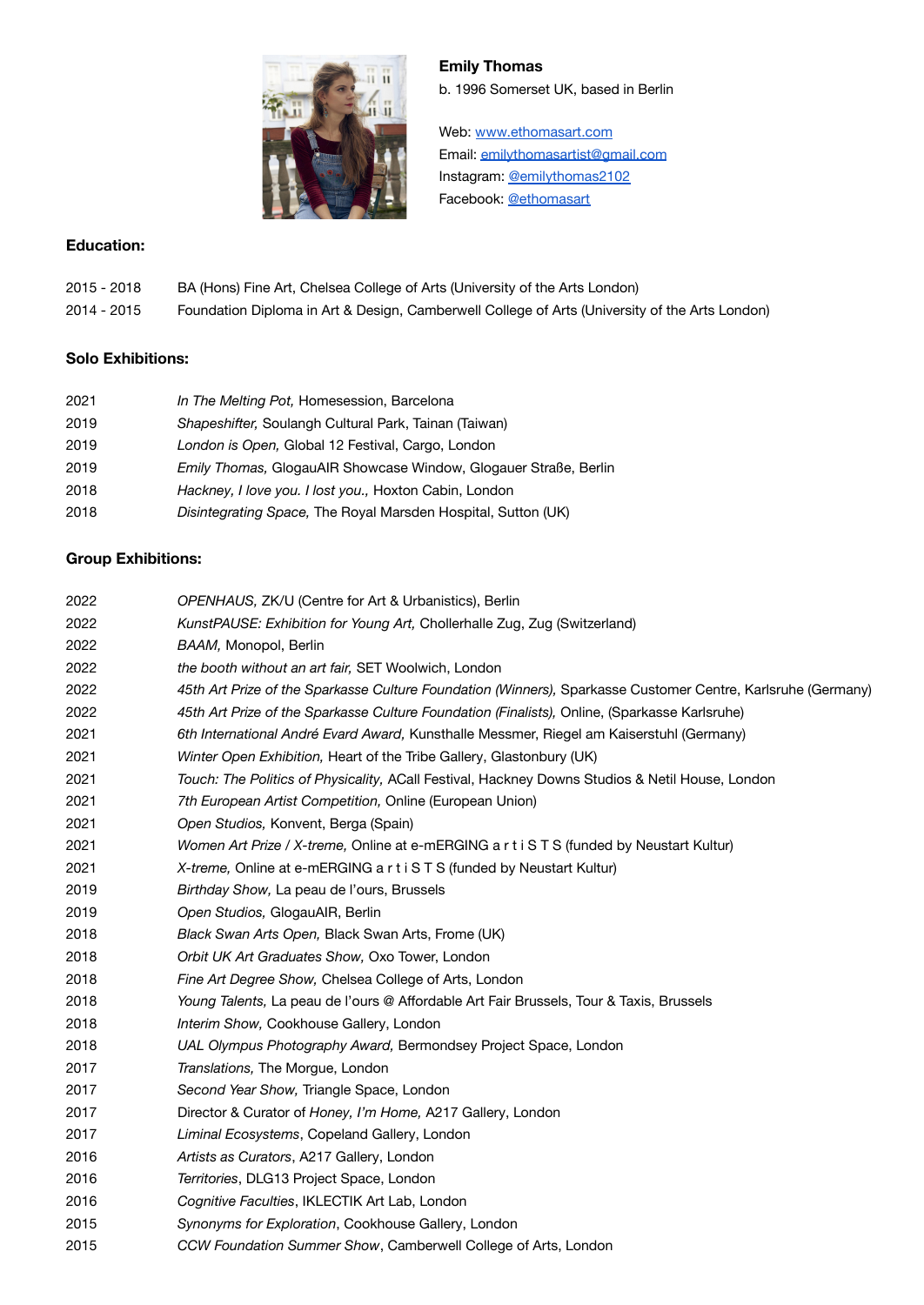

## **Emily Thomas**

b. 1996 Somerset UK, based in Berlin

Web: [www.ethomasart.com](http://www.ethomasart.com) Email: [emilythomasartist@gmail.com](mailto:emilythomasartist@gmail.com) Instagram: [@emilythomas2102](https://www.instagram.com/emilythomas2102/?hl=en) Facebook: [@ethomasart](https://www.facebook.com/ethomasart/)

### **Education:**

2015 - 2018 BA (Hons) Fine Art, Chelsea College of Arts (University of the Arts London) 2014 - 2015 Foundation Diploma in Art & Design, Camberwell College of Arts (University of the Arts London)

## **Solo Exhibitions:**

| 2021 | In The Melting Pot, Homesession, Barcelona                               |
|------|--------------------------------------------------------------------------|
| 2019 | Shapeshifter, Soulangh Cultural Park, Tainan (Taiwan)                    |
| 2019 | London is Open, Global 12 Festival, Cargo, London                        |
| 2019 | <i>Emily Thomas</i> , GlogauAIR Showcase Window, Glogauer Straße, Berlin |
| 2018 | Hackney, I love you. I lost you., Hoxton Cabin, London                   |
| 2018 | Disintegrating Space, The Royal Marsden Hospital, Sutton (UK)            |

## **Group Exhibitions:**

| 2022 | OPENHAUS, ZK/U (Centre for Art & Urbanistics), Berlin                                                        |
|------|--------------------------------------------------------------------------------------------------------------|
| 2022 | KunstPAUSE: Exhibition for Young Art, Chollerhalle Zug, Zug (Switzerland)                                    |
| 2022 | BAAM, Monopol, Berlin                                                                                        |
| 2022 | the booth without an art fair, SET Woolwich, London                                                          |
| 2022 | 45th Art Prize of the Sparkasse Culture Foundation (Winners), Sparkasse Customer Centre, Karlsruhe (Germany) |
| 2022 | 45th Art Prize of the Sparkasse Culture Foundation (Finalists), Online, (Sparkasse Karlsruhe)                |
| 2021 | 6th International André Evard Award, Kunsthalle Messmer, Riegel am Kaiserstuhl (Germany)                     |
| 2021 | Winter Open Exhibition, Heart of the Tribe Gallery, Glastonbury (UK)                                         |
| 2021 | Touch: The Politics of Physicality, ACall Festival, Hackney Downs Studios & Netil House, London              |
| 2021 | 7th European Artist Competition, Online (European Union)                                                     |
| 2021 | Open Studios, Konvent, Berga (Spain)                                                                         |
| 2021 | Women Art Prize / X-treme, Online at e-mERGING a r t i S T S (funded by Neustart Kultur)                     |
| 2021 | X-treme, Online at e-mERGING a r t i S T S (funded by Neustart Kultur)                                       |
| 2019 | Birthday Show, La peau de l'ours, Brussels                                                                   |
| 2019 | Open Studios, GlogauAIR, Berlin                                                                              |
| 2018 | Black Swan Arts Open, Black Swan Arts, Frome (UK)                                                            |
| 2018 | Orbit UK Art Graduates Show, Oxo Tower, London                                                               |
| 2018 | Fine Art Degree Show, Chelsea College of Arts, London                                                        |
| 2018 | Young Talents, La peau de l'ours @ Affordable Art Fair Brussels, Tour & Taxis, Brussels                      |
| 2018 | Interim Show, Cookhouse Gallery, London                                                                      |
| 2018 | UAL Olympus Photography Award, Bermondsey Project Space, London                                              |
| 2017 | Translations, The Morgue, London                                                                             |
| 2017 | Second Year Show, Triangle Space, London                                                                     |
| 2017 | Director & Curator of Honey, I'm Home, A217 Gallery, London                                                  |
| 2017 | Liminal Ecosystems, Copeland Gallery, London                                                                 |
| 2016 | Artists as Curators, A217 Gallery, London                                                                    |
| 2016 | Territories, DLG13 Project Space, London                                                                     |
| 2016 | Cognitive Faculties, IKLECTIK Art Lab, London                                                                |
| 2015 | Synonyms for Exploration, Cookhouse Gallery, London                                                          |
| 2015 | CCW Foundation Summer Show, Camberwell College of Arts, London                                               |